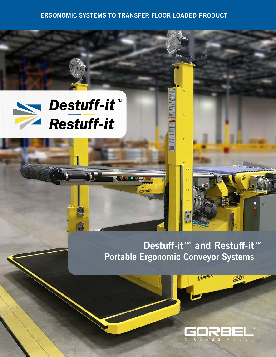## **ERGONOMIC SYSTEMS TO TRANSFER FLOOR LOADED PRODUCT**

18808



 $\mathbf{A}$ 

# **Destuff-it™ and Restuff-it™ Portable Ergonomic Conveyor Systems**

Unloa



一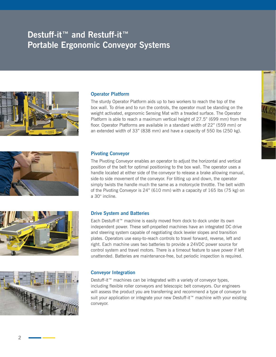## **Destuff-it™ and Restuff-it™ Portable Ergonomic Conveyor Systems**





The sturdy Operator Platform aids up to two workers to reach the top of the box wall. To drive and to run the controls, the operator must be standing on the weight activated, ergonomic Sensing Mat with a treaded surface. The Operator Platform is able to reach a maximum vertical height of 27.5" (699 mm) from the floor. Operator Platforms are available in a standard width of 22" (559 mm) or an extended width of 33" (838 mm) and have a capacity of 550 lbs (250 kg).







#### **Pivoting Conveyor**

The Pivoting Conveyor enables an operator to adjust the horizontal and vertical position of the belt for optimal positioning to the box wall. The operator uses a handle located at either side of the conveyor to release a brake allowing manual, side-to side movement of the conveyor. For tilting up and down, the operator simply twists the handle much the same as a motorcycle throttle. The belt width of the Pivoting Conveyor is 24" (610 mm) with a capacity of 165 lbs (75 kg) on a 30° incline.

#### **Drive System and Batteries**

Each Destuff-it™ machine is easily moved from dock to dock under its own independent power. These self-propelled machines have an integrated DC drive and steering system capable of negotiating dock leveler slopes and transition plates. Operators use easy-to-reach controls to travel forward, reverse, left and right. Each machine uses two batteries to provide a 24VDC power source for control system and travel motors. There is a timeout feature to save power if left unattended. Batteries are maintenance-free, but periodic inspection is required.

#### **Conveyor Integration**

Destuff-it™ machines can be integrated with a variety of conveyor types, including flexible roller conveyors and telescopic belt conveyors. Our engineers will assess the product you are transferring and recommend a type of conveyor to suit your application or integrate your new Destuff-it™ machine with your existing conveyor.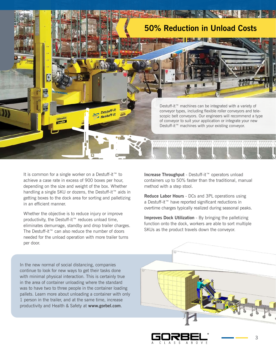

It is common for a single worker on a Destuff-it™ to achieve a case rate in excess of 900 boxes per hour, depending on the size and weight of the box. Whether handling a single SKU or dozens, the Destuff-it™ aids in getting boxes to the dock area for sorting and palletizing in an efficient manner.

Whether the objective is to reduce injury or improve productivity, the Destuff-it™ reduces unload time, eliminates demurrage, standby and drop trailer charges. The Destuff-it™ can also reduce the number of doors needed for the unload operation with more trailer turns per door.

**Increase Throughput** - Destuff-it™ operators unload containers up to 50% faster than the traditional, manual method with a step stool.

**Reduce Labor Hours** - DCs and 3PL operations using a Destuff-it™ have reported significant reductions in overtime charges typically realized during seasonal peaks.

**Improves Dock Utilization** - By bringing the palletizing function onto the dock, workers are able to sort multiple SKUs as the product travels down the conveyor.

In the new normal of social distancing, companies continue to look for new ways to get their tasks done with minimal physical interaction. This is certainly true in the area of container unloading where the standard was to have two to three people in the container loading pallets. Learn more about unloading a container with only 1 person in the trailer, and at the same time, increase productivity and Health & Safety at **www.gorbel.com**.